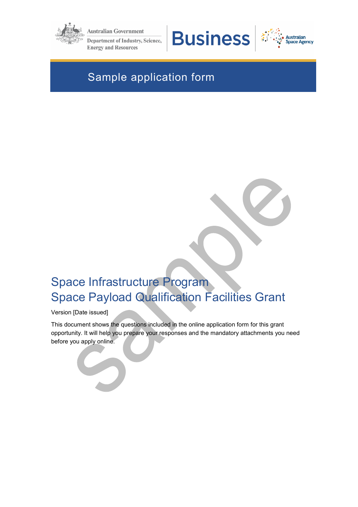

**Australian Government Department of Industry, Science, Energy and Resources** 





# Sample application form

# Space Infrastructure Program Space Payload Qualification Facilities Grant

Version [Date issued]

This document shows the questions included in the online application form for this grant opportunity. It will help you prepare your responses and the mandatory attachments you need before you apply online.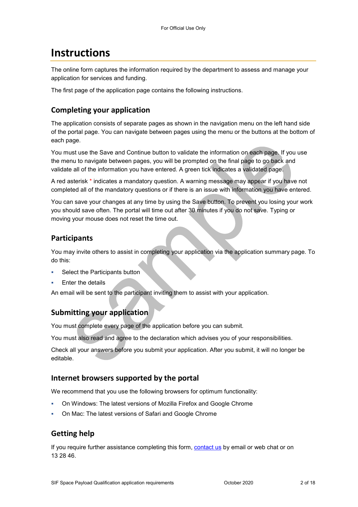# **Instructions**

The online form captures the information required by the department to assess and manage your application for services and funding.

The first page of the application page contains the following instructions.

### **Completing your application**

The application consists of separate pages as shown in the navigation menu on the left hand side of the portal page. You can navigate between pages using the menu or the buttons at the bottom of each page.

You must use the Save and Continue button to validate the information on each page. If you use the menu to navigate between pages, you will be prompted on the final page to go back and validate all of the information you have entered. A green tick indicates a validated page.

A red asterisk \* indicates a mandatory question. A warning message may appear if you have not completed all of the mandatory questions or if there is an issue with information you have entered.

You can save your changes at any time by using the Save button. To prevent you losing your work you should save often. The portal will time out after 30 minutes if you do not save. Typing or moving your mouse does not reset the time out.

### **Participants**

You may invite others to assist in completing your application via the application summary page. To do this:

- Select the Participants button
- Enter the details

An email will be sent to the participant inviting them to assist with your application.

## **Submitting your application**

You must complete every page of the application before you can submit.

You must also read and agree to the declaration which advises you of your responsibilities.

Check all your answers before you submit your application. After you submit, it will no longer be editable.

### **Internet browsers supported by the portal**

We recommend that you use the following browsers for optimum functionality:

- On Windows: The latest versions of Mozilla Firefox and Google Chrome
- On Mac: The latest versions of Safari and Google Chrome

## **Getting help**

If you require further assistance completing this form, [contact us](https://www.business.gov.au/contact-us) by email or web chat or on 13 28 46.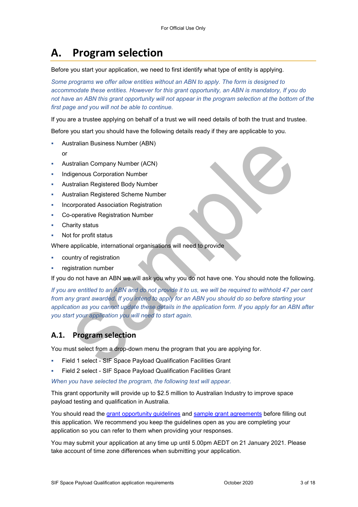# **A. Program selection**

Before you start your application, we need to first identify what type of entity is applying.

*Some programs we offer allow entities without an ABN to apply. The form is designed to accommodate these entities. However for this grant opportunity, an ABN is mandatory, If you do*  not have an ABN this grant opportunity will not appear in the program selection at the bottom of the *first page and you will not be able to continue.* 

If you are a trustee applying on behalf of a trust we will need details of both the trust and trustee.

Before you start you should have the following details ready if they are applicable to you.

- Australian Business Number (ABN)
	- or
- Australian Company Number (ACN)
- Indigenous Corporation Number
- Australian Registered Body Number
- Australian Registered Scheme Number
- Incorporated Association Registration
- Co-operative Registration Number
- Charity status
- Not for profit status

Where applicable, international organisations will need to provide

- country of registration
- registration number

If you do not have an ABN we will ask you why you do not have one. You should note the following.

*If you are entitled to an ABN and do not provide it to us, we will be required to withhold 47 per cent from any grant awarded. If you intend to apply for an ABN you should do so before starting your application as you cannot update these details in the application form. If you apply for an ABN after you start your application you will need to start again.* 

## **A.1. Program selection**

You must select from a drop-down menu the program that you are applying for.

- Field 1 select SIF Space Payload Qualification Facilities Grant
- Field 2 select SIF Space Payload Qualification Facilities Grant

*When you have selected the program, the following text will appear.* 

This grant opportunity will provide up to \$2.5 million to Australian Industry to improve space payload testing and qualification in Australia.

You should read the grant opportunity guidelines and sample grant agreements before filling out this application. We recommend you keep the guidelines open as you are completing your application so you can refer to them when providing your responses.

You may submit your application at any time up until 5.00pm AEDT on 21 January 2021. Please take account of time zone differences when submitting your application.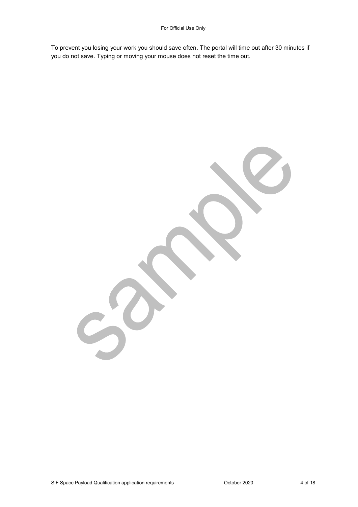To prevent you losing your work you should save often. The portal will time out after 30 minutes if you do not save. Typing or moving your mouse does not reset the time out.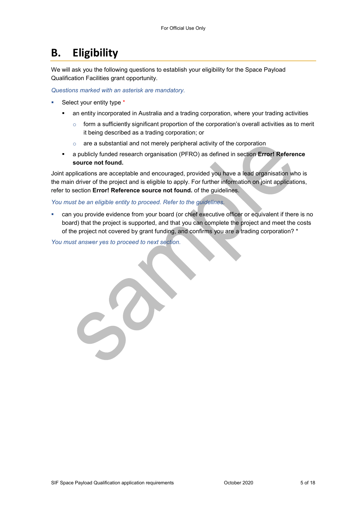# **B. Eligibility**

We will ask you the following questions to establish your eligibility for the Space Payload Qualification Facilities grant opportunity.

*Questions marked with an asterisk are mandatory.* 

- Select your entity type \*
	- **•** an entity incorporated in Australia and a trading corporation, where your trading activities
		- $\circ$  form a sufficiently significant proportion of the corporation's overall activities as to merit it being described as a trading corporation; or
		- $\circ$  are a substantial and not merely peripheral activity of the corporation
	- a publicly funded research organisation (PFRO) as defined in section **Error! Reference source not found.**

Joint applications are acceptable and encouraged, provided you have a lead organisation who is the main driver of the project and is eligible to apply. For further information on joint applications, refer to section **Error! Reference source not found.** of the guidelines.

#### *You must be an eligible entity to proceed. Refer to the guidelines.*

 can you provide evidence from your board (or chief executive officer or equivalent if there is no board) that the project is supported, and that you can complete the project and meet the costs of the project not covered by grant funding, and confirms you are a trading corporation? \*

*You must answer yes to proceed to next section.*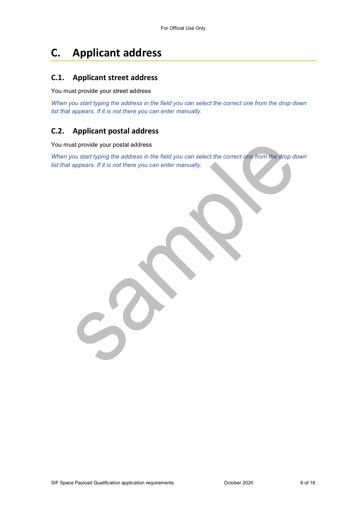# **C. Applicant address**

#### **C.1. Applicant street address**

#### You must provide your street address

*When you start typing the address in the field you can select the correct one from the drop down list that appears. If it is not there you can enter manually.* 

### **C.2. Applicant postal address**

You must provide your postal address

*When you start typing the address in the field you can select the correct one from the drop down list that appears. If it is not there you can enter manually.*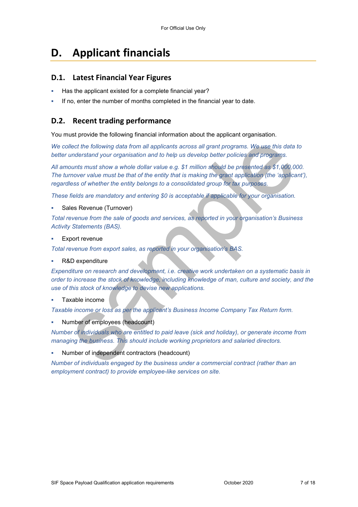## **D. Applicant financials**

#### **D.1. Latest Financial Year Figures**

- Has the applicant existed for a complete financial year?
- If no, enter the number of months completed in the financial year to date.

#### **D.2. Recent trading performance**

You must provide the following financial information about the applicant organisation.

*We collect the following data from all applicants across all grant programs. We use this data to better understand your organisation and to help us develop better policies and programs.*

*All amounts must show a whole dollar value e.g. \$1 million should be presented as \$1,000,000. The turnover value must be that of the entity that is making the grant application (the 'applicant'), regardless of whether the entity belongs to a consolidated group for tax purposes.* 

*These fields are mandatory and entering \$0 is acceptable if applicable for your organisation.* 

Sales Revenue (Turnover)

*Total revenue from the sale of goods and services, as reported in your organisation's Business Activity Statements (BAS).* 

Export revenue

*Total revenue from export sales, as reported in your organisation's BAS.* 

R&D expenditure

*Expenditure on research and development, i.e. creative work undertaken on a systematic basis in order to increase the stock of knowledge, including knowledge of man, culture and society, and the use of this stock of knowledge to devise new applications.* 

Taxable income

*Taxable income or loss as per the applicant's Business Income Company Tax Return form.* 

Number of employees (headcount)

*Number of individuals who are entitled to paid leave (sick and holiday), or generate income from managing the business. This should include working proprietors and salaried directors.* 

Number of independent contractors (headcount)

*Number of individuals engaged by the business under a commercial contract (rather than an employment contract) to provide employee-like services on site.*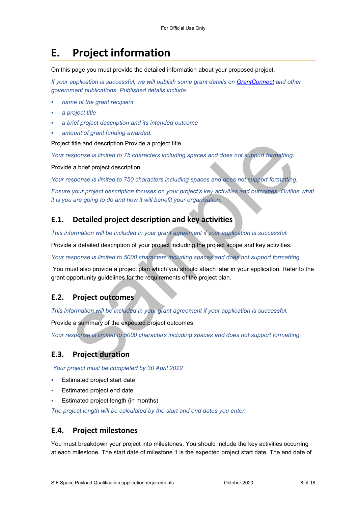# **E. Project information**

On this page you must provide the detailed information about your proposed project.

*If your application is successful, we will publish some grant details on GrantConnect and other government publications. Published details include:* 

- *name of the grant recipient*
- *a project title*
- *a brief project description and its intended outcome*
- *amount of grant funding awarded.*

Project title and description Provide a project title.

*Your response is limited to 75 characters including spaces and does not support formatting.* 

Provide a brief project description.

*Your response is limited to 750 characters including spaces and does not support formatting.* 

*Ensure your project description focuses on your project's key activities and outcomes. Outline what it is you are going to do and how it will benefit your organisation.* 

## **E.1. Detailed project description and key activities**

*This information will be included in your grant agreement if your application is successful.* 

Provide a detailed description of your project including the project scope and key activities.

*Your response is limited to 5000 characters including spaces and does not support formatting.* 

You must also provide a project plan which you should attach later in your application. Refer to the grant opportunity guidelines for the requirements of the project plan.

## **E.2. Project outcomes**

*This information will be included in your grant agreement if your application is successful.* 

Provide a summary of the expected project outcomes.

*Your response is limited to 5000 characters including spaces and does not support formatting.* 

## **E.3. Project duration**

*Your project must be completed by 30 April 2022* 

- Estimated project start date
- Estimated project end date
- Estimated project length (in months)

*The project length will be calculated by the start and end dates you enter.* 

### **E.4. Project milestones**

You must breakdown your project into milestones. You should include the key activities occurring at each milestone. The start date of milestone 1 is the expected project start date. The end date of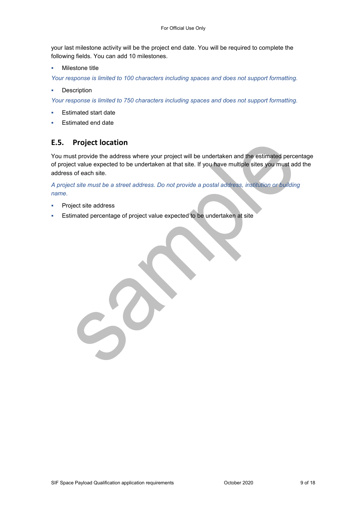your last milestone activity will be the project end date. You will be required to complete the following fields. You can add 10 milestones.

Milestone title

*Your response is limited to 100 characters including spaces and does not support formatting.* 

**Description** 

*Your response is limited to 750 characters including spaces and does not support formatting.* 

- Estimated start date
- Estimated end date

#### **E.5. Project location**

You must provide the address where your project will be undertaken and the estimated percentage of project value expected to be undertaken at that site. If you have multiple sites you must add the address of each site.

*A project site must be a street address. Do not provide a postal address, institution or building name.* 

- Project site address
- Estimated percentage of project value expected to be undertaken at site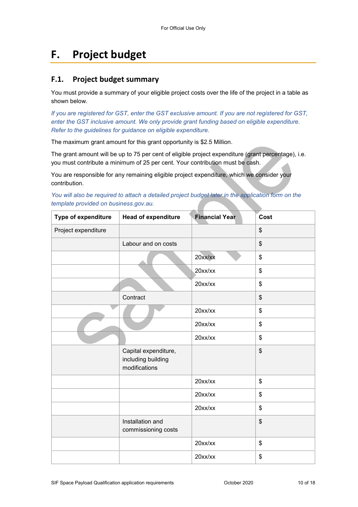# **F. Project budget**

#### **F.1. Project budget summary**

You must provide a summary of your eligible project costs over the life of the project in a table as shown below.

*If you are registered for GST, enter the GST exclusive amount. If you are not registered for GST, enter the GST inclusive amount. We only provide grant funding based on eligible expenditure. Refer to the guidelines for guidance on eligible expenditure.* 

The maximum grant amount for this grant opportunity is \$2.5 Million.

The grant amount will be up to 75 per cent of eligible project expenditure (grant percentage), i.e. you must contribute a minimum of 25 per cent. Your contribution must be cash.

You are responsible for any remaining eligible project expenditure, which we consider your contribution.

| You will also be required to attach a detailed project budget later in the application form on the |  |  |  |
|----------------------------------------------------------------------------------------------------|--|--|--|
| template provided on business.gov.au.                                                              |  |  |  |
|                                                                                                    |  |  |  |

| Type of expenditure | <b>Head of expenditure</b>                                  | <b>Financial Year</b> | Cost |
|---------------------|-------------------------------------------------------------|-----------------------|------|
| Project expenditure |                                                             |                       | \$   |
|                     | Labour and on costs                                         |                       | \$   |
|                     |                                                             | 20xx/xx               | \$   |
|                     |                                                             | $20$ xx/xx            | \$   |
|                     |                                                             | $20$ xx/xx            | \$   |
|                     | Contract                                                    |                       | \$   |
|                     |                                                             | 20xx/xx               | \$   |
|                     |                                                             | 20xx/xx               | \$   |
|                     |                                                             | $20$ xx/xx            | \$   |
|                     | Capital expenditure,<br>including building<br>modifications |                       | \$   |
|                     |                                                             | $20$ xx/xx            | \$   |
|                     |                                                             | 20xx/xx               | \$   |
|                     |                                                             | $20$ xx/xx            | \$   |
|                     | Installation and<br>commissioning costs                     |                       | \$   |
|                     |                                                             | $20$ xx/xx            | \$   |
|                     |                                                             | 20xx/xx               | \$   |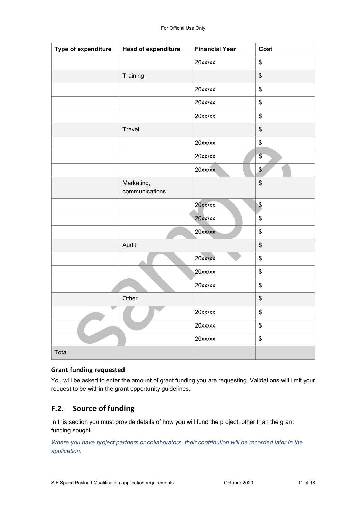| Type of expenditure | <b>Head of expenditure</b>   | <b>Financial Year</b> | Cost                                      |
|---------------------|------------------------------|-----------------------|-------------------------------------------|
|                     |                              | $20$ xx/xx            | \$                                        |
|                     | Training                     |                       | \$                                        |
|                     |                              | 20xx/xx               | \$                                        |
|                     |                              | $20$ xx/xx            | \$                                        |
|                     |                              | $20$ xx/xx            | \$                                        |
|                     | Travel                       |                       | $\,$                                      |
|                     |                              | 20xx/xx               | \$                                        |
|                     |                              | $20$ xx/xx            | $\sqrt[6]{\frac{1}{2}}$                   |
|                     |                              | $20$ xx/xx            | $\sqrt[6]{\frac{1}{2}}$                   |
|                     | Marketing,<br>communications |                       | $\frac{1}{2}$                             |
|                     |                              | $20$ xx/xx            | \$                                        |
|                     |                              | $20$ xx/xx            | \$                                        |
|                     |                              | 20xx/xx               | \$                                        |
|                     | Audit                        |                       | $\,$                                      |
|                     |                              | 20xx/xx               | \$                                        |
|                     |                              | $20$ xx/xx            | \$                                        |
|                     |                              | $20$ xx/xx            | \$                                        |
|                     | Other                        |                       | $\,$                                      |
|                     |                              | 20xx/xx               | \$                                        |
|                     |                              | 20xx/xx               | \$                                        |
|                     |                              | 20xx/xx               | $\, \, \raisebox{12pt}{$\scriptstyle \$}$ |
| Total               |                              |                       |                                           |

#### **Grant funding requested**

You will be asked to enter the amount of grant funding you are requesting. Validations will limit your request to be within the grant opportunity guidelines.

### **F.2. Source of funding**

In this section you must provide details of how you will fund the project, other than the grant funding sought.

*Where you have project partners or collaborators, their contribution will be recorded later in the application.*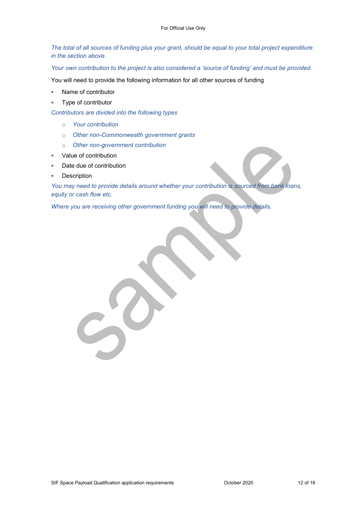*The total of all sources of funding plus your grant, should be equal to your total project expenditure in the section above.* 

*Your own contribution to the project is also considered a 'source of funding' and must be provided.* 

You will need to provide the following information for all other sources of funding

- Name of contributor
- Type of contributor

*Contributors are divided into the following types* 

- o *Your contribution*
- o *Other non-Commonwealth government grants*
- o *Other non-government contribution*
- Value of contribution
- Date due of contribution
- **Description**

*You may need to provide details around whether your contribution is sourced from bank loans, equity or cash flow etc.* 

*Where you are receiving other government funding you will need to provide details.*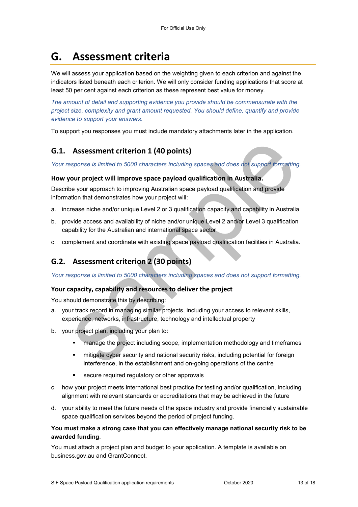# **G. Assessment criteria**

We will assess your application based on the weighting given to each criterion and against the indicators listed beneath each criterion. We will only consider funding applications that score at least 50 per cent against each criterion as these represent best value for money.

*The amount of detail and supporting evidence you provide should be commensurate with the project size, complexity and grant amount requested. You should define, quantify and provide evidence to support your answers.* 

To support you responses you must include mandatory attachments later in the application.

## **G.1. Assessment criterion 1 (40 points)**

*Your response is limited to 5000 characters including spaces and does not support formatting.* 

#### **How your project will improve space payload qualification in Australia.**

Describe your approach to improving Australian space payload qualification and provide information that demonstrates how your project will:

- a. increase niche and/or unique Level 2 or 3 qualification capacity and capability in Australia
- b. provide access and availability of niche and/or unique Level 2 and/or Level 3 qualification capability for the Australian and international space sector
- c. complement and coordinate with existing space payload qualification facilities in Australia.

## **G.2. Assessment criterion 2 (30 points)**

*Your response is limited to 5000 characters including spaces and does not support formatting.* 

#### **Your capacity, capability and resources to deliver the project**

You should demonstrate this by describing:

- a. your track record in managing similar projects, including your access to relevant skills, experience, networks, infrastructure, technology and intellectual property
- b. your project plan, including your plan to:
	- **EXECT** manage the project including scope, implementation methodology and timeframes
	- mitigate cyber security and national security risks, including potential for foreign interference, in the establishment and on-going operations of the centre
	- secure required regulatory or other approvals
- c. how your project meets international best practice for testing and/or qualification, including alignment with relevant standards or accreditations that may be achieved in the future
- d. your ability to meet the future needs of the space industry and provide financially sustainable space qualification services beyond the period of project funding.

#### **You must make a strong case that you can effectively manage national security risk to be awarded funding**.

You must attach a project plan and budget to your application. A template is available on business.gov.au and GrantConnect.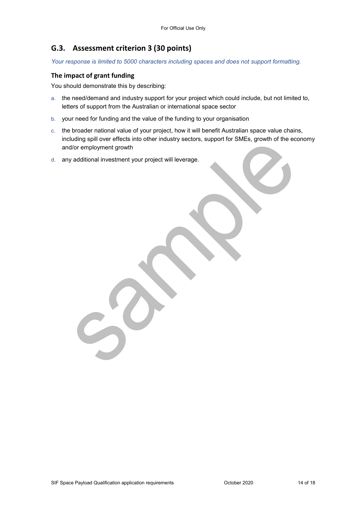### **G.3. Assessment criterion 3 (30 points)**

*Your response is limited to 5000 characters including spaces and does not support formatting.* 

#### **The impact of grant funding**

You should demonstrate this by describing:

- a. the need/demand and industry support for your project which could include, but not limited to, letters of support from the Australian or international space sector
- b. your need for funding and the value of the funding to your organisation
- c. the broader national value of your project, how it will benefit Australian space value chains, including spill over effects into other industry sectors, support for SMEs, growth of the economy and/or employment growth
- d. any additional investment your project will leverage.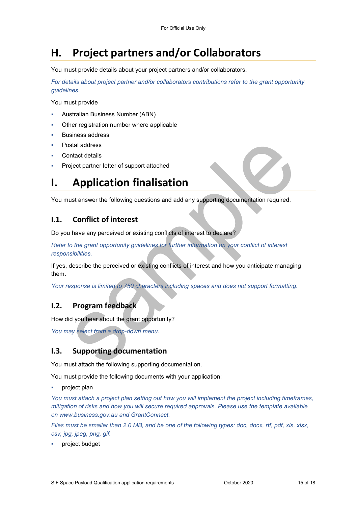# **H. Project partners and/or Collaborators**

You must provide details about your project partners and/or collaborators.

*For details about project partner and/or collaborators contributions refer to the grant opportunity guidelines.* 

You must provide

- Australian Business Number (ABN)
- Other registration number where applicable
- Business address
- Postal address
- Contact details
- Project partner letter of support attached

# **I. Application finalisation**

You must answer the following questions and add any supporting documentation required.

### **I.1. Conflict of interest**

Do you have any perceived or existing conflicts of interest to declare?

*Refer to the grant opportunity guidelines for further information on your conflict of interest responsibilities.* 

If yes, describe the perceived or existing conflicts of interest and how you anticipate managing them.

*Your response is limited to 750 characters including spaces and does not support formatting.* 

#### **I.2. Program feedback**

How did you hear about the grant opportunity?

*You may select from a drop-down menu.* 

### **I.3. Supporting documentation**

You must attach the following supporting documentation.

You must provide the following documents with your application:

project plan

*You must attach a project plan setting out how you will implement the project including timeframes, mitigation of risks and how you will secure required approvals. Please use the template available on www.business.gov.au and GrantConnect.* 

*Files must be smaller than 2.0 MB, and be one of the following types: doc, docx, rtf, pdf, xls, xlsx, csv, jpg, jpeg, png, gif.*

project budget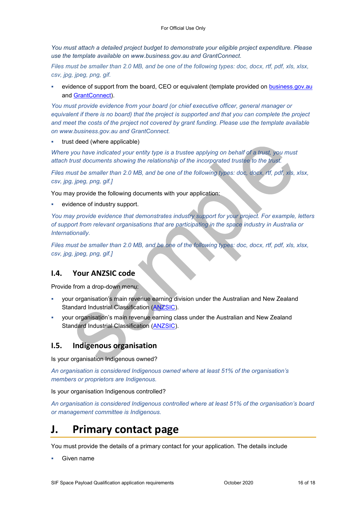*You must attach a detailed project budget to demonstrate your eligible project expenditure. Please use the template available on www.business.gov.au and GrantConnect.* 

*Files must be smaller than 2.0 MB, and be one of the following types: doc, docx, rtf, pdf, xls, xlsx, csv, jpg, jpeg, png, gif.*

 evidence of support from the board, CEO or equivalent (template provided on business.gov.au and [GrantConnect\)](http://www.grants.gov.au/).

*You must provide evidence from your board (or chief executive officer, general manager or equivalent if there is no board) that the project is supported and that you can complete the project and meet the costs of the project not covered by grant funding. Please use the template available on www.business.gov.au and GrantConnect.* 

trust deed (where applicable)

*Where you have indicated your entity type is a trustee applying on behalf of a trust, you must attach trust documents showing the relationship of the incorporated trustee to the trust.* 

*Files must be smaller than 2.0 MB, and be one of the following types: doc, docx, rtf, pdf, xls, xlsx, csv, jpg, jpeg, png, gif.]* 

You may provide the following documents with your application:

evidence of industry support.

*You may provide evidence that demonstrates industry support for your project. For example, letters of support from relevant organisations that are participating in the space industry in Australia or Internationally.* 

*Files must be smaller than 2.0 MB, and be one of the following types: doc, docx, rtf, pdf, xls, xlsx, csv, jpg, jpeg, png, gif.]* 

#### **I.4. Your ANZSIC code**

Provide from a drop-down menu:

- your organisation's main revenue earning division under the Australian and New Zealand Standard Industrial Classification [\(ANZSIC\)](https://www.abs.gov.au/ausstats/abs@.nsf/0/20C5B5A4F46DF95BCA25711F00146D75?opendocument).
- your organisation's main revenue earning class under the Australian and New Zealand Standard Industrial Classification [\(ANZSIC\)](https://www.abs.gov.au/ausstats/abs@.nsf/0/20C5B5A4F46DF95BCA25711F00146D75?opendocument).

#### **I.5. Indigenous organisation**

Is your organisation Indigenous owned?

*An organisation is considered Indigenous owned where at least 51% of the organisation's members or proprietors are Indigenous.* 

Is your organisation Indigenous controlled?

*An organisation is considered Indigenous controlled where at least 51% of the organisation's board or management committee is Indigenous.* 

## **J. Primary contact page**

You must provide the details of a primary contact for your application. The details include

Given name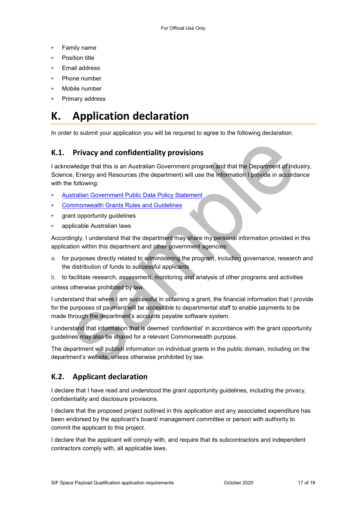- **Family name**
- Position title
- Email address
- Phone number
- Mobile number
- Primary address

# **K. Application declaration**

In order to submit your application you will be required to agree to the following declaration.

### **K.1. Privacy and confidentiality provisions**

I acknowledge that this is an Australian Government program and that the Department of Industry, Science, Energy and Resources (the department) will use the information I provide in accordance with the following:

- [Australian Government Public Data Policy Statement](https://www.dpmc.gov.au/sites/default/files/publications/aust_govt_public_data_policy_statement_1.pdf)
- [Commonwealth Grants Rules and Guidelines](https://www.finance.gov.au/government/commonwealth-grants/commonwealth-grants-rules-guidelines)
- grant opportunity guidelines
- applicable Australian laws

Accordingly, I understand that the department may share my personal information provided in this application within this department and other government agencies:

- a. for purposes directly related to administering the program, including governance, research and the distribution of funds to successful applicants
- b. to facilitate research, assessment, monitoring and analysis of other programs and activities

unless otherwise prohibited by law.

I understand that where I am successful in obtaining a grant, the financial information that I provide for the purposes of payment will be accessible to departmental staff to enable payments to be made through the department's accounts payable software system.

I understand that information that is deemed 'confidential' in accordance with the grant opportunity guidelines may also be shared for a relevant Commonwealth purpose.

The department will publish information on individual grants in the public domain, including on the department's website, unless otherwise prohibited by law.

### **K.2. Applicant declaration**

I declare that I have read and understood the grant opportunity guidelines, including the privacy, confidentiality and disclosure provisions.

I declare that the proposed project outlined in this application and any associated expenditure has been endorsed by the applicant's board/ management committee or person with authority to commit the applicant to this project.

I declare that the applicant will comply with, and require that its subcontractors and independent contractors comply with, all applicable laws.